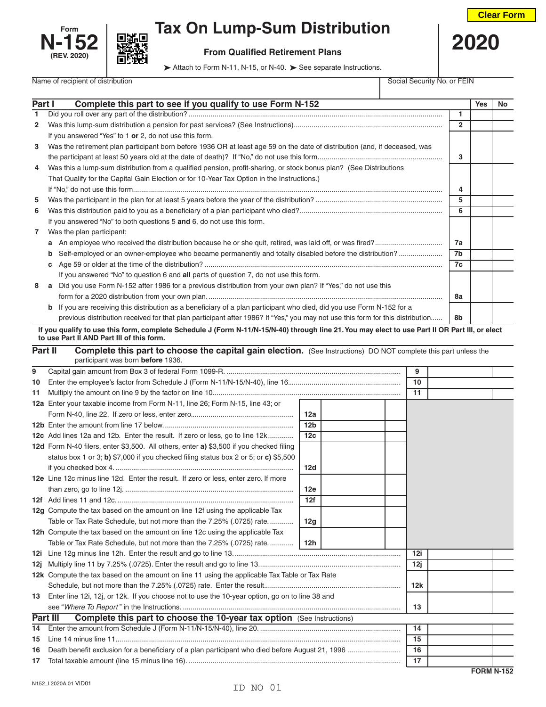



## **Form**  $\begin{bmatrix} 1 & 1 \\ 1 & 2 \end{bmatrix}$  **Tax On Lump-Sum Distribution**

 **N-152 From Qualified Retirement Plans 2020**

Attach to Form N-11, N-15, or N-40. > See separate Instructions.

| Complete this part to see if you qualify to use Form N-152<br>Part I<br><b>Yes</b><br>$\mathbf{1}$<br>1<br>$\overline{2}$<br>$\mathbf{2}$<br>If you answered "Yes" to 1 or 2, do not use this form.<br>Was the retirement plan participant born before 1936 OR at least age 59 on the date of distribution (and, if deceased, was<br>3<br>3<br>Was this a lump-sum distribution from a qualified pension, profit-sharing, or stock bonus plan? (See Distributions<br>4<br>That Qualify for the Capital Gain Election or for 10-Year Tax Option in the Instructions.)<br>4<br>5<br>5<br>6<br>6<br>If you answered "No" to both questions 5 and 6, do not use this form. |    |  |  |  |  |
|------------------------------------------------------------------------------------------------------------------------------------------------------------------------------------------------------------------------------------------------------------------------------------------------------------------------------------------------------------------------------------------------------------------------------------------------------------------------------------------------------------------------------------------------------------------------------------------------------------------------------------------------------------------------|----|--|--|--|--|
|                                                                                                                                                                                                                                                                                                                                                                                                                                                                                                                                                                                                                                                                        | No |  |  |  |  |
|                                                                                                                                                                                                                                                                                                                                                                                                                                                                                                                                                                                                                                                                        |    |  |  |  |  |
|                                                                                                                                                                                                                                                                                                                                                                                                                                                                                                                                                                                                                                                                        |    |  |  |  |  |
|                                                                                                                                                                                                                                                                                                                                                                                                                                                                                                                                                                                                                                                                        |    |  |  |  |  |
|                                                                                                                                                                                                                                                                                                                                                                                                                                                                                                                                                                                                                                                                        |    |  |  |  |  |
|                                                                                                                                                                                                                                                                                                                                                                                                                                                                                                                                                                                                                                                                        |    |  |  |  |  |
|                                                                                                                                                                                                                                                                                                                                                                                                                                                                                                                                                                                                                                                                        |    |  |  |  |  |
|                                                                                                                                                                                                                                                                                                                                                                                                                                                                                                                                                                                                                                                                        |    |  |  |  |  |
|                                                                                                                                                                                                                                                                                                                                                                                                                                                                                                                                                                                                                                                                        |    |  |  |  |  |
|                                                                                                                                                                                                                                                                                                                                                                                                                                                                                                                                                                                                                                                                        |    |  |  |  |  |
|                                                                                                                                                                                                                                                                                                                                                                                                                                                                                                                                                                                                                                                                        |    |  |  |  |  |
|                                                                                                                                                                                                                                                                                                                                                                                                                                                                                                                                                                                                                                                                        |    |  |  |  |  |
| Was the plan participant:<br>$\overline{7}$                                                                                                                                                                                                                                                                                                                                                                                                                                                                                                                                                                                                                            |    |  |  |  |  |
| 7a                                                                                                                                                                                                                                                                                                                                                                                                                                                                                                                                                                                                                                                                     |    |  |  |  |  |
| Self-employed or an owner-employee who became permanently and totally disabled before the distribution?<br>7b<br>b                                                                                                                                                                                                                                                                                                                                                                                                                                                                                                                                                     |    |  |  |  |  |
| 7c                                                                                                                                                                                                                                                                                                                                                                                                                                                                                                                                                                                                                                                                     |    |  |  |  |  |
| If you answered "No" to question 6 and all parts of question 7, do not use this form.                                                                                                                                                                                                                                                                                                                                                                                                                                                                                                                                                                                  |    |  |  |  |  |
| a Did you use Form N-152 after 1986 for a previous distribution from your own plan? If "Yes," do not use this<br>8                                                                                                                                                                                                                                                                                                                                                                                                                                                                                                                                                     |    |  |  |  |  |
| 8a                                                                                                                                                                                                                                                                                                                                                                                                                                                                                                                                                                                                                                                                     |    |  |  |  |  |
| <b>b</b> If you are receiving this distribution as a beneficiary of a plan participant who died, did you use Form N-152 for a                                                                                                                                                                                                                                                                                                                                                                                                                                                                                                                                          |    |  |  |  |  |
| previous distribution received for that plan participant after 1986? If "Yes," you may not use this form for this distribution<br>8b                                                                                                                                                                                                                                                                                                                                                                                                                                                                                                                                   |    |  |  |  |  |
| If you qualify to use this form, complete Schedule J (Form N-11/N-15/N-40) through line 21. You may elect to use Part II OR Part III, or elect                                                                                                                                                                                                                                                                                                                                                                                                                                                                                                                         |    |  |  |  |  |
| to use Part II AND Part III of this form.                                                                                                                                                                                                                                                                                                                                                                                                                                                                                                                                                                                                                              |    |  |  |  |  |
| Part II<br><b>Complete this part to choose the capital gain election.</b> (See Instructions) DO NOT complete this part unless the                                                                                                                                                                                                                                                                                                                                                                                                                                                                                                                                      |    |  |  |  |  |
| participant was born before 1936.                                                                                                                                                                                                                                                                                                                                                                                                                                                                                                                                                                                                                                      |    |  |  |  |  |
| 9<br>9                                                                                                                                                                                                                                                                                                                                                                                                                                                                                                                                                                                                                                                                 |    |  |  |  |  |
| 10<br>10<br>11                                                                                                                                                                                                                                                                                                                                                                                                                                                                                                                                                                                                                                                         |    |  |  |  |  |
| 11                                                                                                                                                                                                                                                                                                                                                                                                                                                                                                                                                                                                                                                                     |    |  |  |  |  |
| 12a Enter your taxable income from Form N-11, line 26; Form N-15, line 43; or<br>12a                                                                                                                                                                                                                                                                                                                                                                                                                                                                                                                                                                                   |    |  |  |  |  |
| 12 <sub>b</sub>                                                                                                                                                                                                                                                                                                                                                                                                                                                                                                                                                                                                                                                        |    |  |  |  |  |
| 12 <sub>c</sub>                                                                                                                                                                                                                                                                                                                                                                                                                                                                                                                                                                                                                                                        |    |  |  |  |  |
| 12c Add lines 12a and 12b. Enter the result. If zero or less, go to line 12k                                                                                                                                                                                                                                                                                                                                                                                                                                                                                                                                                                                           |    |  |  |  |  |
| 12d Form N-40 filers, enter \$3,500. All others, enter a) \$3,500 if you checked filing<br>status box 1 or 3; b) \$7,000 if you checked filing status box 2 or 5; or c) \$5,500                                                                                                                                                                                                                                                                                                                                                                                                                                                                                        |    |  |  |  |  |
|                                                                                                                                                                                                                                                                                                                                                                                                                                                                                                                                                                                                                                                                        |    |  |  |  |  |
| 12d                                                                                                                                                                                                                                                                                                                                                                                                                                                                                                                                                                                                                                                                    |    |  |  |  |  |
| 12e Line 12c minus line 12d. Enter the result. If zero or less, enter zero. If more                                                                                                                                                                                                                                                                                                                                                                                                                                                                                                                                                                                    |    |  |  |  |  |
| 12e<br>12f                                                                                                                                                                                                                                                                                                                                                                                                                                                                                                                                                                                                                                                             |    |  |  |  |  |
| 12g Compute the tax based on the amount on line 12f using the applicable Tax                                                                                                                                                                                                                                                                                                                                                                                                                                                                                                                                                                                           |    |  |  |  |  |

|     | 12h Compute the tax based on the amount on line 12c using the applicable Tax                      |     |  |     |                   |
|-----|---------------------------------------------------------------------------------------------------|-----|--|-----|-------------------|
|     | Table or Tax Rate Schedule, but not more than the 7.25% (.0725) rate                              | 12h |  |     |                   |
|     |                                                                                                   |     |  | 12i |                   |
|     |                                                                                                   |     |  | 12i |                   |
|     | 12k Compute the tax based on the amount on line 11 using the applicable Tax Table or Tax Rate     |     |  |     |                   |
|     |                                                                                                   |     |  | 12k |                   |
|     | 13 Enter line 12i, 12j, or 12k. If you choose not to use the 10-year option, go on to line 38 and |     |  |     |                   |
|     |                                                                                                   |     |  | 13  |                   |
|     | Part III<br><b>Complete this part to choose the 10-year tax option</b> (See Instructions)         |     |  |     |                   |
| 14  |                                                                                                   |     |  | 14  |                   |
| 15  |                                                                                                   |     |  | 15  |                   |
| 16. |                                                                                                   |     |  | 16  |                   |
| 17  |                                                                                                   |     |  | 17  |                   |
|     |                                                                                                   |     |  |     | <b>EORM N.152</b> |

Table or Tax Rate Schedule, but not more than the 7.25% (.0725) rate............. **12g**